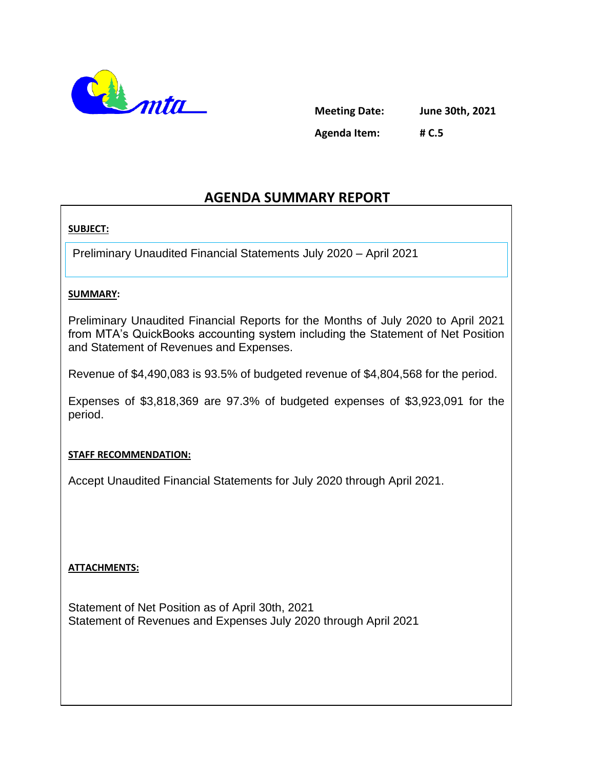

**Meeting Date: June 30th, 2021 Agenda Item: # C.5**

### **AGENDA SUMMARY REPORT**

#### **SUBJECT:**

Preliminary Unaudited Financial Statements July 2020 – April 2021

#### **SUMMARY:**

Preliminary Unaudited Financial Reports for the Months of July 2020 to April 2021 from MTA's QuickBooks accounting system including the Statement of Net Position and Statement of Revenues and Expenses.

Revenue of \$4,490,083 is 93.5% of budgeted revenue of \$4,804,568 for the period.

Expenses of \$3,818,369 are 97.3% of budgeted expenses of \$3,923,091 for the period.

#### **STAFF RECOMMENDATION:**

Accept Unaudited Financial Statements for July 2020 through April 2021.

#### **ATTACHMENTS:**

Statement of Net Position as of April 30th, 2021 Statement of Revenues and Expenses July 2020 through April 2021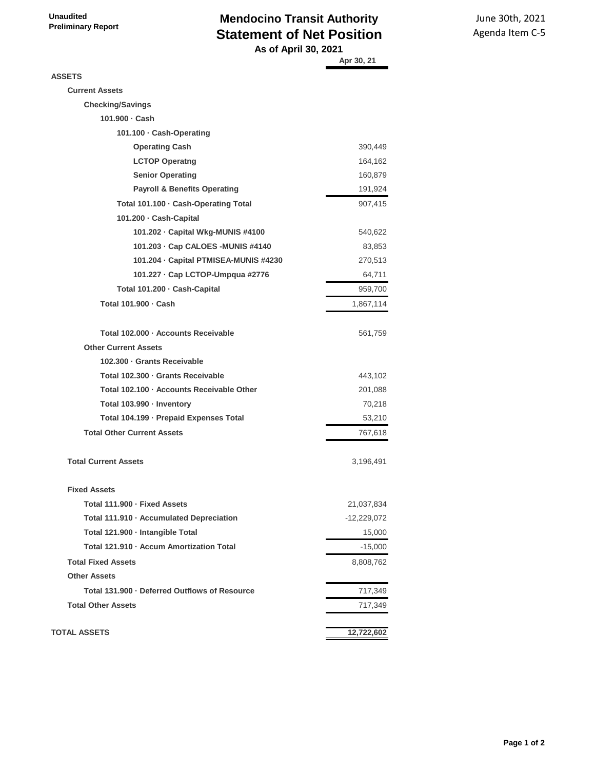**Unaudited Preliminary Report**

#### **Mendocino Transit Authority Statement of Net Position As of April 30, 2021**

June 30th, 2021 Agenda Item C-5

|                                               | Apr 30, 21  |
|-----------------------------------------------|-------------|
| <b>ASSETS</b>                                 |             |
| <b>Current Assets</b>                         |             |
| <b>Checking/Savings</b>                       |             |
| 101.900 · Cash                                |             |
| 101.100 · Cash-Operating                      |             |
| <b>Operating Cash</b>                         | 390,449     |
| <b>LCTOP Operatng</b>                         | 164,162     |
| <b>Senior Operating</b>                       | 160,879     |
| <b>Payroll &amp; Benefits Operating</b>       | 191,924     |
| Total 101.100 · Cash-Operating Total          | 907,415     |
| 101.200 · Cash-Capital                        |             |
| 101.202 · Capital Wkg-MUNIS #4100             | 540,622     |
| 101.203 · Cap CALOES - MUNIS #4140            | 83,853      |
| 101.204 - Capital PTMISEA-MUNIS #4230         | 270,513     |
| 101.227 · Cap LCTOP-Umpqua #2776              | 64,711      |
| Total 101.200 · Cash-Capital                  | 959,700     |
| Total 101.900 · Cash                          | 1,867,114   |
| Total 102.000 · Accounts Receivable           | 561,759     |
| <b>Other Current Assets</b>                   |             |
| 102.300 · Grants Receivable                   |             |
| Total 102.300 - Grants Receivable             | 443,102     |
| Total 102.100 · Accounts Receivable Other     | 201,088     |
| Total 103.990 · Inventory                     | 70,218      |
| Total 104.199 · Prepaid Expenses Total        | 53,210      |
| <b>Total Other Current Assets</b>             | 767,618     |
| <b>Total Current Assets</b>                   | 3,196,491   |
| <b>Fixed Assets</b>                           |             |
| Total 111.900 - Fixed Assets                  | 21,037,834  |
| Total 111.910 · Accumulated Depreciation      | -12,229,072 |
| Total 121.900 · Intangible Total              | 15,000      |
| Total 121.910 · Accum Amortization Total      | $-15,000$   |
| <b>Total Fixed Assets</b>                     | 8,808,762   |
| <b>Other Assets</b>                           |             |
| Total 131.900 - Deferred Outflows of Resource | 717,349     |
| <b>Total Other Assets</b>                     | 717,349     |
| <b>TOTAL ASSETS</b>                           | 12,722,602  |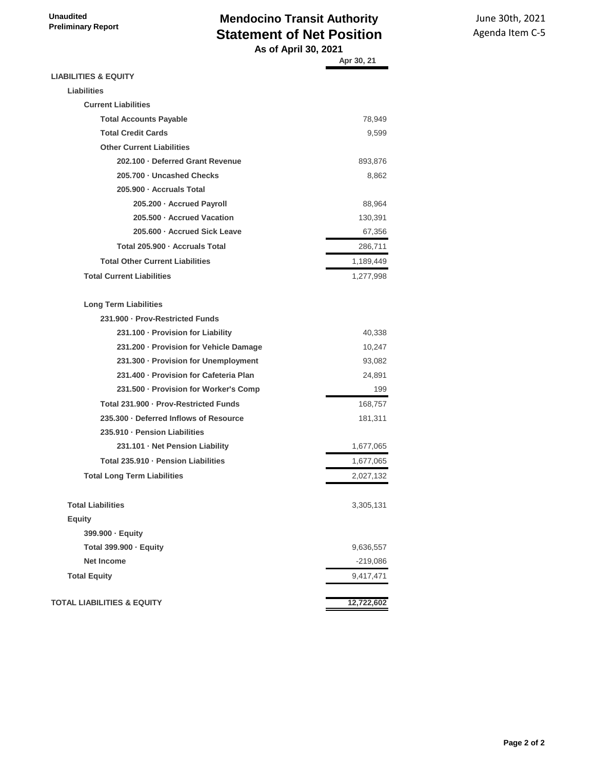# **Mendocino Transit Authority Statement of Net Position**

June 30th, 2021 Agenda Item C-5

 **As of April 30, 2021**

|                                        | Apr 30, 21 |
|----------------------------------------|------------|
| <b>LIABILITIES &amp; EQUITY</b>        |            |
| Liabilities                            |            |
| <b>Current Liabilities</b>             |            |
| <b>Total Accounts Payable</b>          | 78,949     |
| <b>Total Credit Cards</b>              | 9,599      |
| <b>Other Current Liabilities</b>       |            |
| 202.100 · Deferred Grant Revenue       | 893,876    |
| 205.700 · Uncashed Checks              | 8,862      |
| 205.900 · Accruals Total               |            |
| 205.200 · Accrued Payroll              | 88,964     |
| 205,500 · Accrued Vacation             | 130,391    |
| 205.600 · Accrued Sick Leave           | 67,356     |
| Total 205,900 · Accruals Total         | 286,711    |
| <b>Total Other Current Liabilities</b> | 1,189,449  |
| <b>Total Current Liabilities</b>       | 1,277,998  |
| <b>Long Term Liabilities</b>           |            |
| 231.900 - Prov-Restricted Funds        |            |
| 231.100 - Provision for Liability      | 40,338     |
| 231.200 · Provision for Vehicle Damage | 10,247     |
| 231.300 · Provision for Unemployment   | 93,082     |
| 231.400 - Provision for Cafeteria Plan | 24,891     |
| 231.500 · Provision for Worker's Comp  | 199        |
| Total 231.900 - Prov-Restricted Funds  | 168,757    |
| 235.300 - Deferred Inflows of Resource | 181,311    |
| 235.910 - Pension Liabilities          |            |
| 231.101 · Net Pension Liability        | 1,677,065  |
| Total 235.910 - Pension Liabilities    | 1,677,065  |
| <b>Total Long Term Liabilities</b>     | 2,027,132  |
| <b>Total Liabilities</b>               | 3,305,131  |
| <b>Equity</b>                          |            |
| 399.900 · Equity                       |            |
| Total 399.900 · Equity                 | 9,636,557  |
| <b>Net Income</b>                      | $-219,086$ |
| <b>Total Equity</b>                    | 9,417,471  |
| <b>TOTAL LIABILITIES &amp; EQUITY</b>  | 12,722,602 |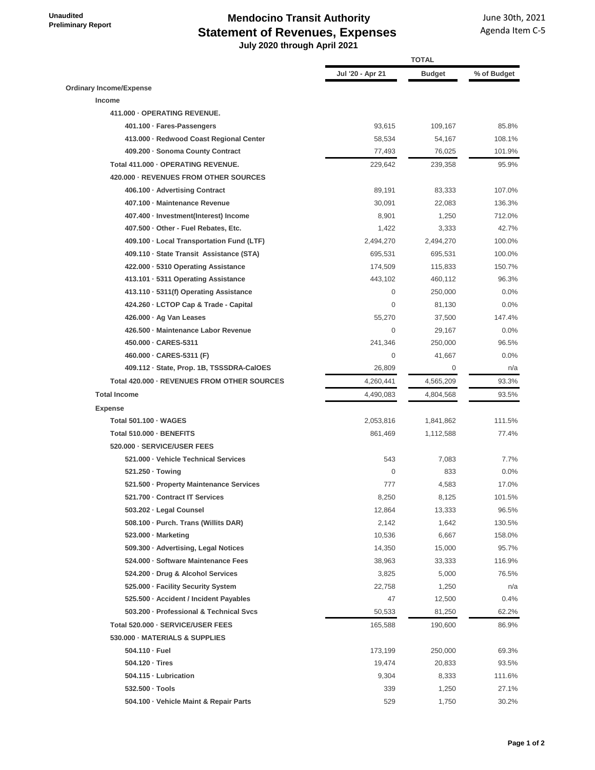## **Mendocino Transit Authority Statement of Revenues, Expenses**

 **July 2020 through April 2021**

|                                             | <b>TOTAL</b>     |               |             |
|---------------------------------------------|------------------|---------------|-------------|
|                                             | Jul '20 - Apr 21 | <b>Budget</b> | % of Budget |
| <b>Ordinary Income/Expense</b>              |                  |               |             |
| Income                                      |                  |               |             |
| 411.000 - OPERATING REVENUE.                |                  |               |             |
| 401.100 · Fares-Passengers                  | 93,615           | 109,167       | 85.8%       |
| 413.000 · Redwood Coast Regional Center     | 58,534           | 54,167        | 108.1%      |
| 409.200 · Sonoma County Contract            | 77,493           | 76,025        | 101.9%      |
| Total 411.000 - OPERATING REVENUE.          | 229,642          | 239,358       | 95.9%       |
| 420,000 · REVENUES FROM OTHER SOURCES       |                  |               |             |
| 406.100 · Advertising Contract              | 89,191           | 83,333        | 107.0%      |
| 407.100 - Maintenance Revenue               | 30,091           | 22,083        | 136.3%      |
| 407.400 · Investment(Interest) Income       | 8,901            | 1,250         | 712.0%      |
| 407.500 · Other - Fuel Rebates, Etc.        | 1,422            | 3,333         | 42.7%       |
| 409.100 · Local Transportation Fund (LTF)   | 2,494,270        | 2,494,270     | 100.0%      |
| 409.110 · State Transit Assistance (STA)    | 695,531          | 695,531       | 100.0%      |
| 422.000 · 5310 Operating Assistance         | 174,509          | 115,833       | 150.7%      |
| 413.101 · 5311 Operating Assistance         | 443,102          | 460,112       | 96.3%       |
| 413.110 · 5311(f) Operating Assistance      | $\mathbf 0$      | 250,000       | 0.0%        |
| 424.260 · LCTOP Cap & Trade - Capital       | $\mathbf 0$      | 81,130        | 0.0%        |
| 426.000 · Ag Van Leases                     | 55,270           | 37,500        | 147.4%      |
| 426.500 - Maintenance Labor Revenue         | $\mathbf 0$      | 29,167        | 0.0%        |
| 450.000 - CARES-5311                        | 241,346          | 250,000       | 96.5%       |
| 460.000 · CARES-5311 (F)                    | $\mathbf 0$      | 41,667        | 0.0%        |
| 409.112 · State, Prop. 1B, TSSSDRA-CalOES   | 26,809           | $\mathbf 0$   | n/a         |
| Total 420.000 - REVENUES FROM OTHER SOURCES | 4,260,441        | 4,565,209     | 93.3%       |
| <b>Total Income</b>                         | 4,490,083        | 4,804,568     | 93.5%       |
| <b>Expense</b>                              |                  |               |             |
| Total 501.100 · WAGES                       | 2,053,816        | 1,841,862     | 111.5%      |
| Total 510.000 - BENEFITS                    | 861,469          | 1,112,588     | 77.4%       |
| 520.000 - SERVICE/USER FEES                 |                  |               |             |
| 521.000 · Vehicle Technical Services        | 543              | 7,083         | 7.7%        |
| 521.250 · Towing                            | $\mathbf 0$      | 833           | $0.0\%$     |
| 521.500 · Property Maintenance Services     | 777              | 4,583         | 17.0%       |
| 521.700 · Contract IT Services              | 8,250            | 8,125         | 101.5%      |
| 503.202 · Legal Counsel                     | 12,864           | 13,333        | 96.5%       |
| 508.100 · Purch. Trans (Willits DAR)        | 2,142            | 1,642         | 130.5%      |
| 523.000 · Marketing                         | 10,536           | 6,667         | 158.0%      |
| 509.300 · Advertising, Legal Notices        | 14,350           | 15,000        | 95.7%       |
| 524.000 · Software Maintenance Fees         | 38,963           | 33,333        | 116.9%      |
| 524.200 · Drug & Alcohol Services           | 3,825            | 5,000         | 76.5%       |
| 525.000 · Facility Security System          | 22,758           | 1,250         | n/a         |
| 525.500 · Accident / Incident Payables      | 47               | 12,500        | 0.4%        |
| 503.200 · Professional & Technical Svcs     | 50,533           | 81,250        | 62.2%       |
| Total 520.000 - SERVICE/USER FEES           | 165,588          | 190,600       | 86.9%       |
| 530.000 - MATERIALS & SUPPLIES              |                  |               |             |
| 504.110 · Fuel                              | 173,199          | 250,000       | 69.3%       |
| 504.120 · Tires                             | 19,474           | 20,833        | 93.5%       |
| 504.115 · Lubrication                       | 9,304            | 8,333         | 111.6%      |
| 532.500 · Tools                             | 339              | 1,250         | 27.1%       |
| 504.100 · Vehicle Maint & Repair Parts      | 529              | 1,750         | 30.2%       |